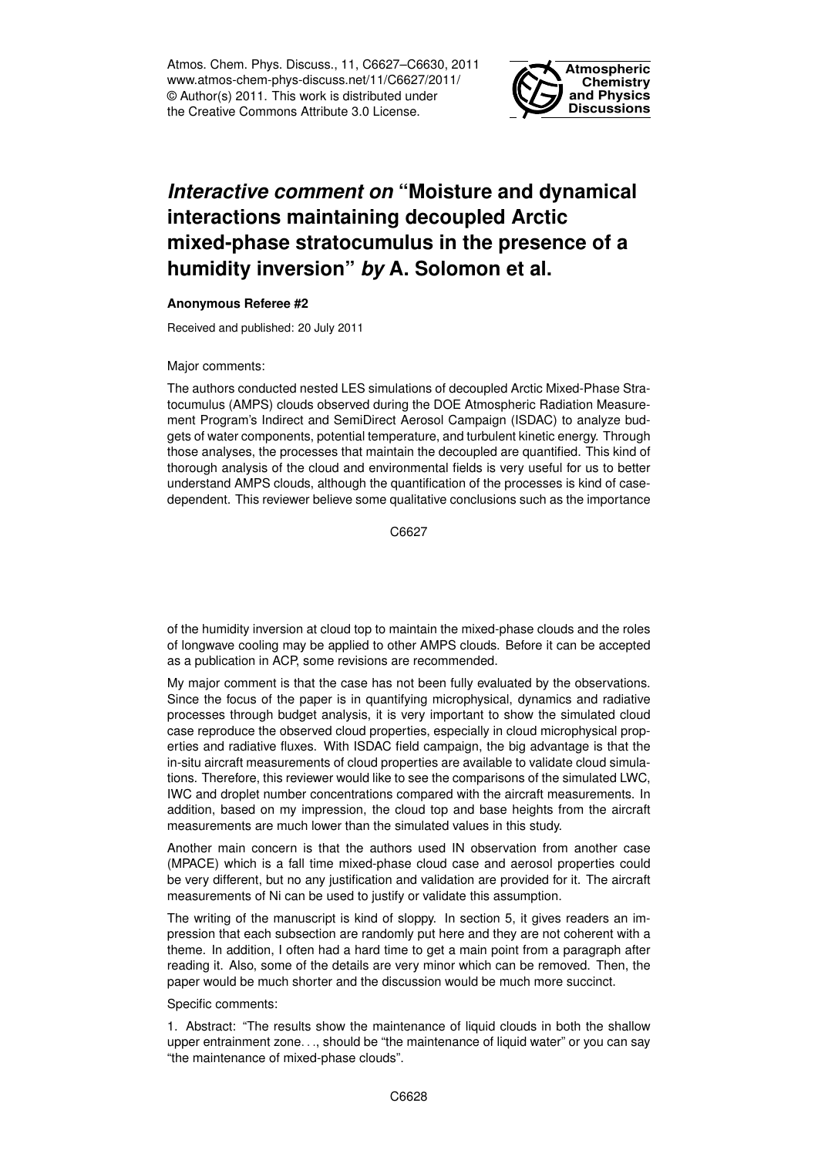Atmos. Chem. Phys. Discuss., 11, C6627–C6630, 2011 www.atmos-chem-phys-discuss.net/11/C6627/2011/ © Author(s) 2011. This work is distributed under the Creative Commons Attribute 3.0 License.



## *Interactive comment on* **"Moisture and dynamical interactions maintaining decoupled Arctic mixed-phase stratocumulus in the presence of a humidity inversion"** *by* **A. Solomon et al.**

## **Anonymous Referee #2**

Received and published: 20 July 2011

## Major comments:

The authors conducted nested LES simulations of decoupled Arctic Mixed-Phase Stratocumulus (AMPS) clouds observed during the DOE Atmospheric Radiation Measurement Program's Indirect and SemiDirect Aerosol Campaign (ISDAC) to analyze budgets of water components, potential temperature, and turbulent kinetic energy. Through those analyses, the processes that maintain the decoupled are quantified. This kind of thorough analysis of the cloud and environmental fields is very useful for us to better understand AMPS clouds, although the quantification of the processes is kind of casedependent. This reviewer believe some qualitative conclusions such as the importance

C6627

of the humidity inversion at cloud top to maintain the mixed-phase clouds and the roles of longwave cooling may be applied to other AMPS clouds. Before it can be accepted as a publication in ACP, some revisions are recommended.

My major comment is that the case has not been fully evaluated by the observations. Since the focus of the paper is in quantifying microphysical, dynamics and radiative processes through budget analysis, it is very important to show the simulated cloud case reproduce the observed cloud properties, especially in cloud microphysical properties and radiative fluxes. With ISDAC field campaign, the big advantage is that the in-situ aircraft measurements of cloud properties are available to validate cloud simulations. Therefore, this reviewer would like to see the comparisons of the simulated LWC, IWC and droplet number concentrations compared with the aircraft measurements. In addition, based on my impression, the cloud top and base heights from the aircraft measurements are much lower than the simulated values in this study.

Another main concern is that the authors used IN observation from another case (MPACE) which is a fall time mixed-phase cloud case and aerosol properties could be very different, but no any justification and validation are provided for it. The aircraft measurements of Ni can be used to justify or validate this assumption.

The writing of the manuscript is kind of sloppy. In section 5, it gives readers an impression that each subsection are randomly put here and they are not coherent with a theme. In addition, I often had a hard time to get a main point from a paragraph after reading it. Also, some of the details are very minor which can be removed. Then, the paper would be much shorter and the discussion would be much more succinct.

## Specific comments:

1. Abstract: "The results show the maintenance of liquid clouds in both the shallow upper entrainment zone. . ., should be "the maintenance of liquid water" or you can say "the maintenance of mixed-phase clouds".